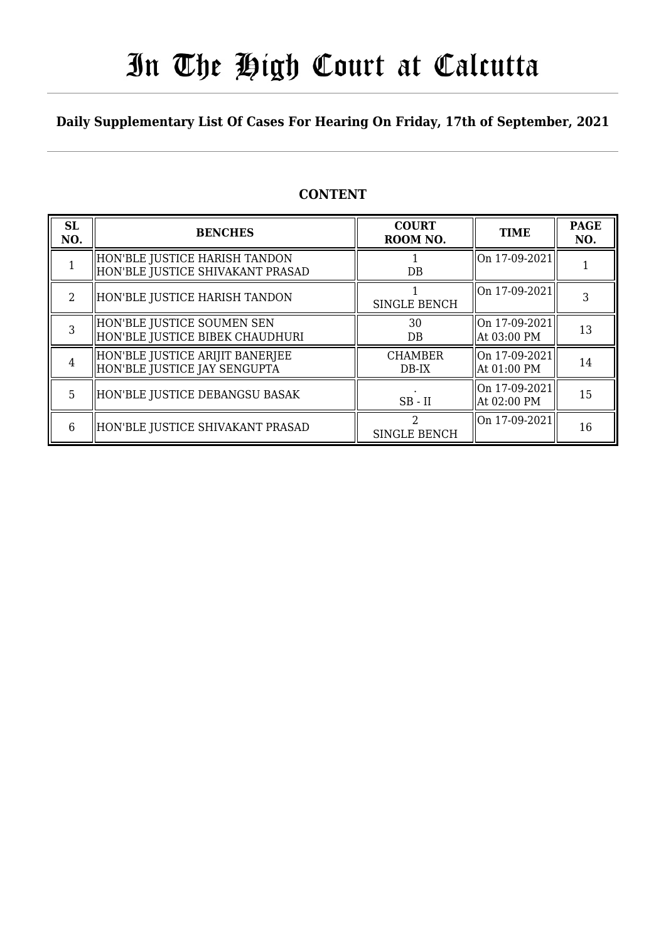# In The High Court at Calcutta

### **Daily Supplementary List Of Cases For Hearing On Friday, 17th of September, 2021**

### **CONTENT**

| <b>SL</b><br>NO. | <b>BENCHES</b>                                                    | <b>COURT</b><br>ROOM NO.  | <b>TIME</b>                   | <b>PAGE</b><br>NO. |
|------------------|-------------------------------------------------------------------|---------------------------|-------------------------------|--------------------|
|                  | HON'BLE JUSTICE HARISH TANDON<br>HON'BLE JUSTICE SHIVAKANT PRASAD | DB                        | On 17-09-2021                 |                    |
| $\mathcal{L}$    | HON'BLE JUSTICE HARISH TANDON                                     | <b>SINGLE BENCH</b>       | On 17-09-2021                 |                    |
| 3                | HON'BLE JUSTICE SOUMEN SEN<br>HON'BLE JUSTICE BIBEK CHAUDHURI     | 30<br>DB                  | On 17-09-2021<br>At 03:00 PM  | 13                 |
| $\overline{4}$   | HON'BLE JUSTICE ARIJIT BANERJEE<br>HON'BLE JUSTICE JAY SENGUPTA   | <b>CHAMBER</b><br>$DB-IX$ | On 17-09-2021<br>At 01:00 PM  | 14                 |
| 5.               | HON'BLE JUSTICE DEBANGSU BASAK                                    | $SB$ - $II$               | lOn 17-09-2021<br>At 02:00 PM | 15                 |
| 6                | HON'BLE JUSTICE SHIVAKANT PRASAD                                  | SINGLE BENCH              | On 17-09-2021                 | 16                 |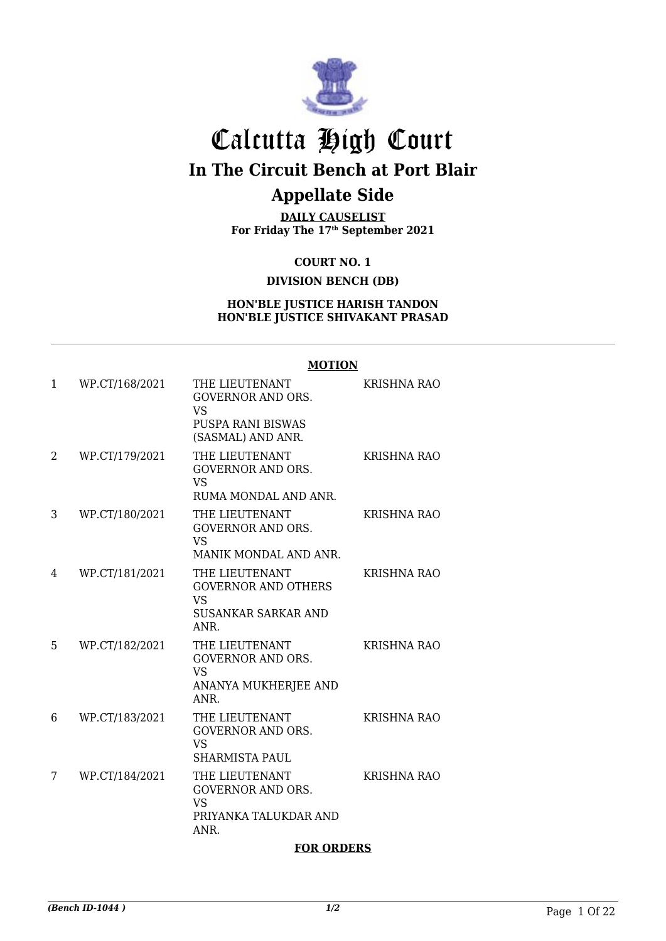

# Calcutta High Court **In The Circuit Bench at Port Blair**

## **Appellate Side**

**DAILY CAUSELIST For Friday The 17th September 2021**

> **COURT NO. 1 DIVISION BENCH (DB)**

### **HON'BLE JUSTICE HARISH TANDON HON'BLE JUSTICE SHIVAKANT PRASAD**

## **MOTION**

| 1 | WP.CT/168/2021 | THE LIEUTENANT<br><b>GOVERNOR AND ORS.</b><br><b>VS</b><br><b>PUSPA RANI BISWAS</b><br>(SASMAL) AND ANR. | <b>KRISHNA RAO</b> |
|---|----------------|----------------------------------------------------------------------------------------------------------|--------------------|
| 2 | WP.CT/179/2021 | THE LIEUTENANT<br><b>GOVERNOR AND ORS.</b><br><b>VS</b><br>RUMA MONDAL AND ANR.                          | <b>KRISHNA RAO</b> |
| 3 | WP.CT/180/2021 | THE LIEUTENANT<br><b>GOVERNOR AND ORS.</b><br><b>VS</b><br>MANIK MONDAL AND ANR.                         | <b>KRISHNA RAO</b> |
| 4 | WP.CT/181/2021 | THE LIEUTENANT<br><b>GOVERNOR AND OTHERS</b><br><b>VS</b><br><b>SUSANKAR SARKAR AND</b><br>ANR.          | <b>KRISHNA RAO</b> |
| 5 | WP.CT/182/2021 | THE LIEUTENANT<br><b>GOVERNOR AND ORS.</b><br><b>VS</b><br>ANANYA MUKHERJEE AND<br>ANR.                  | <b>KRISHNA RAO</b> |
| 6 | WP.CT/183/2021 | THE LIEUTENANT<br><b>GOVERNOR AND ORS.</b><br><b>VS</b><br><b>SHARMISTA PAUL</b>                         | <b>KRISHNA RAO</b> |
| 7 | WP.CT/184/2021 | THE LIEUTENANT<br><b>GOVERNOR AND ORS.</b><br><b>VS</b><br>PRIYANKA TALUKDAR AND<br>ANR.                 | <b>KRISHNA RAO</b> |

#### **FOR ORDERS**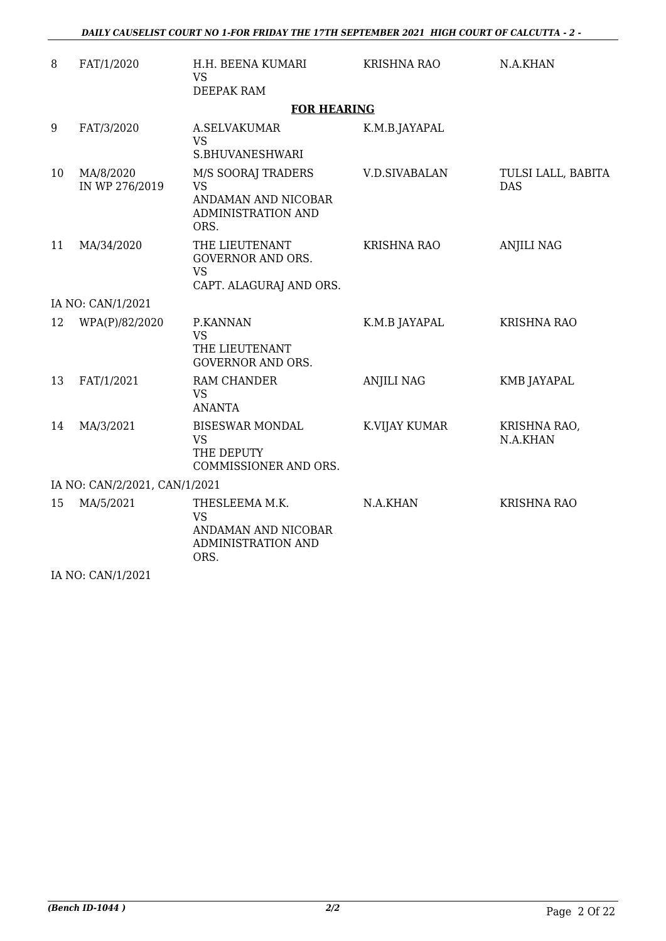| 8  | FAT/1/2020                    | H.H. BEENA KUMARI<br><b>VS</b>                                                       | KRISHNA RAO          | N.A.KHAN                         |  |  |  |
|----|-------------------------------|--------------------------------------------------------------------------------------|----------------------|----------------------------------|--|--|--|
|    |                               | DEEPAK RAM                                                                           |                      |                                  |  |  |  |
|    | <b>FOR HEARING</b>            |                                                                                      |                      |                                  |  |  |  |
| 9  | FAT/3/2020                    | A.SELVAKUMAR<br><b>VS</b><br>S.BHUVANESHWARI                                         | K.M.B.JAYAPAL        |                                  |  |  |  |
| 10 | MA/8/2020<br>IN WP 276/2019   | M/S SOORAJ TRADERS<br><b>VS</b><br>ANDAMAN AND NICOBAR<br>ADMINISTRATION AND<br>ORS. | <b>V.D.SIVABALAN</b> | TULSI LALL, BABITA<br><b>DAS</b> |  |  |  |
| 11 | MA/34/2020                    | THE LIEUTENANT<br><b>GOVERNOR AND ORS.</b><br><b>VS</b><br>CAPT. ALAGURAJ AND ORS.   | <b>KRISHNA RAO</b>   | <b>ANJILI NAG</b>                |  |  |  |
|    | IA NO: CAN/1/2021             |                                                                                      |                      |                                  |  |  |  |
| 12 | WPA(P)/82/2020                | P.KANNAN<br><b>VS</b><br>THE LIEUTENANT<br><b>GOVERNOR AND ORS.</b>                  | K.M.B JAYAPAL        | <b>KRISHNA RAO</b>               |  |  |  |
| 13 | FAT/1/2021                    | RAM CHANDER<br><b>VS</b><br><b>ANANTA</b>                                            | <b>ANJILI NAG</b>    | <b>KMB JAYAPAL</b>               |  |  |  |
| 14 | MA/3/2021                     | <b>BISESWAR MONDAL</b><br><b>VS</b><br>THE DEPUTY<br>COMMISSIONER AND ORS.           | K.VIJAY KUMAR        | KRISHNA RAO,<br>N.A.KHAN         |  |  |  |
|    | IA NO: CAN/2/2021, CAN/1/2021 |                                                                                      |                      |                                  |  |  |  |
| 15 | MA/5/2021                     | THESLEEMA M.K.<br><b>VS</b><br>ANDAMAN AND NICOBAR<br>ADMINISTRATION AND<br>ORS.     | N.A.KHAN             | <b>KRISHNA RAO</b>               |  |  |  |

IA NO: CAN/1/2021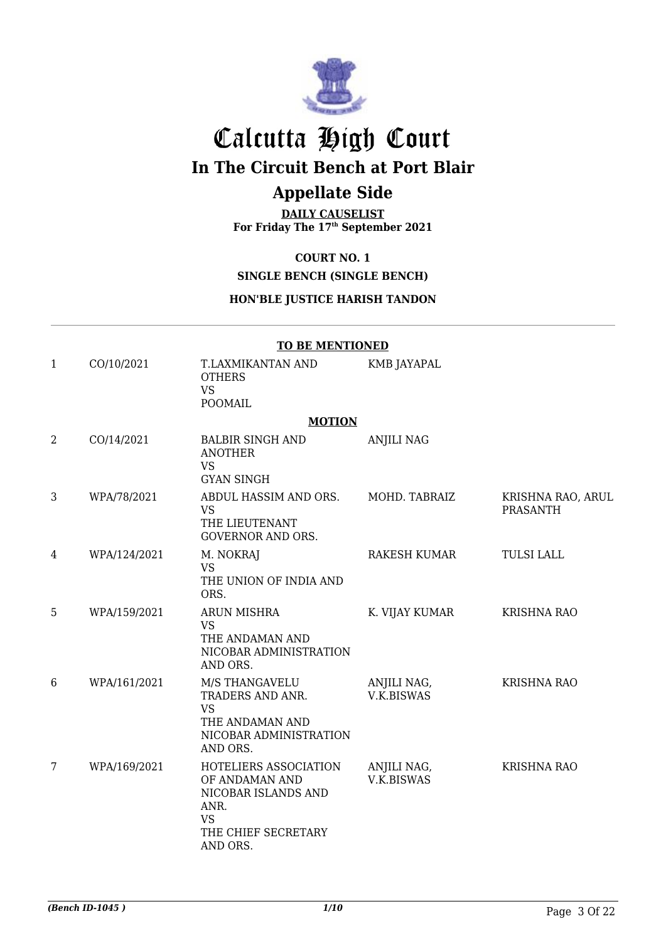

# Calcutta High Court

**In The Circuit Bench at Port Blair**

### **Appellate Side**

**DAILY CAUSELIST For Friday The 17th September 2021**

**COURT NO. 1**

**SINGLE BENCH (SINGLE BENCH)**

### **HON'BLE JUSTICE HARISH TANDON**

|                | <b>TO BE MENTIONED</b> |                                                                                                                        |                                  |                                      |  |
|----------------|------------------------|------------------------------------------------------------------------------------------------------------------------|----------------------------------|--------------------------------------|--|
| $\mathbf{1}$   | CO/10/2021             | T.LAXMIKANTAN AND<br><b>OTHERS</b><br><b>VS</b><br><b>POOMAIL</b>                                                      | KMB JAYAPAL                      |                                      |  |
|                |                        | <b>MOTION</b>                                                                                                          |                                  |                                      |  |
| $\overline{2}$ | CO/14/2021             | <b>BALBIR SINGH AND</b><br><b>ANOTHER</b><br><b>VS</b><br><b>GYAN SINGH</b>                                            | <b>ANJILI NAG</b>                |                                      |  |
| 3              | WPA/78/2021            | ABDUL HASSIM AND ORS.<br><b>VS</b><br>THE LIEUTENANT<br><b>GOVERNOR AND ORS.</b>                                       | MOHD. TABRAIZ                    | KRISHNA RAO, ARUL<br><b>PRASANTH</b> |  |
| 4              | WPA/124/2021           | M. NOKRAJ<br><b>VS</b><br>THE UNION OF INDIA AND<br>ORS.                                                               | RAKESH KUMAR                     | <b>TULSI LALL</b>                    |  |
| 5              | WPA/159/2021           | ARUN MISHRA<br><b>VS</b><br>THE ANDAMAN AND<br>NICOBAR ADMINISTRATION<br>AND ORS.                                      | K. VIJAY KUMAR                   | <b>KRISHNA RAO</b>                   |  |
| 6              | WPA/161/2021           | M/S THANGAVELU<br>TRADERS AND ANR.<br><b>VS</b><br>THE ANDAMAN AND<br>NICOBAR ADMINISTRATION<br>AND ORS.               | ANJILI NAG,<br>V.K.BISWAS        | <b>KRISHNA RAO</b>                   |  |
| 7              | WPA/169/2021           | HOTELIERS ASSOCIATION<br>OF ANDAMAN AND<br>NICOBAR ISLANDS AND<br>ANR.<br><b>VS</b><br>THE CHIEF SECRETARY<br>AND ORS. | ANJILI NAG,<br><b>V.K.BISWAS</b> | <b>KRISHNA RAO</b>                   |  |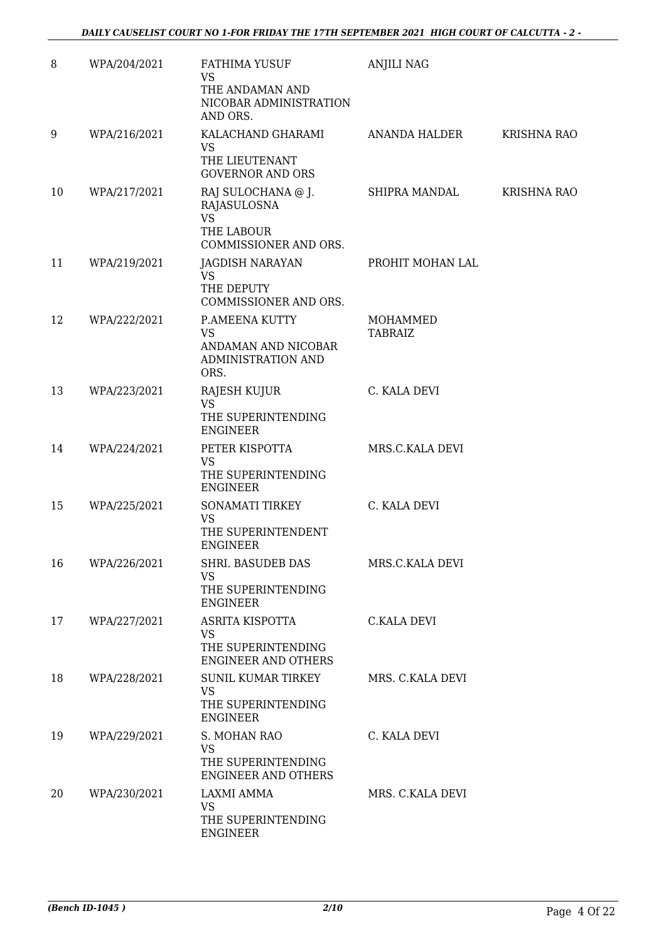| 8  | WPA/204/2021 | FATHIMA YUSUF<br><b>VS</b><br>THE ANDAMAN AND<br>NICOBAR ADMINISTRATION                      | <b>ANJILI NAG</b>          |                    |
|----|--------------|----------------------------------------------------------------------------------------------|----------------------------|--------------------|
| 9  | WPA/216/2021 | AND ORS.<br>KALACHAND GHARAMI                                                                | ANANDA HALDER              | <b>KRISHNA RAO</b> |
|    |              | <b>VS</b><br>THE LIEUTENANT<br><b>GOVERNOR AND ORS</b>                                       |                            |                    |
| 10 | WPA/217/2021 | RAJ SULOCHANA @ J.<br>RAJASULOSNA                                                            | SHIPRA MANDAL              | <b>KRISHNA RAO</b> |
|    |              | <b>VS</b><br>THE LABOUR<br>COMMISSIONER AND ORS.                                             |                            |                    |
| 11 | WPA/219/2021 | JAGDISH NARAYAN<br><b>VS</b><br>THE DEPUTY<br>COMMISSIONER AND ORS.                          | PROHIT MOHAN LAL           |                    |
| 12 | WPA/222/2021 | P.AMEENA KUTTY<br><b>VS</b><br>ANDAMAN AND NICOBAR<br>ADMINISTRATION AND<br>ORS.             | MOHAMMED<br><b>TABRAIZ</b> |                    |
| 13 | WPA/223/2021 | RAJESH KUJUR<br><b>VS</b><br>THE SUPERINTENDING<br><b>ENGINEER</b>                           | C. KALA DEVI               |                    |
| 14 | WPA/224/2021 | PETER KISPOTTA<br>VS<br>THE SUPERINTENDING<br><b>ENGINEER</b>                                | MRS.C.KALA DEVI            |                    |
| 15 | WPA/225/2021 | <b>SONAMATI TIRKEY</b><br>VS<br>THE SUPERINTENDENT<br><b>ENGINEER</b>                        | C. KALA DEVI               |                    |
| 16 | WPA/226/2021 | <b>SHRI. BASUDEB DAS</b><br><b>VS</b><br>THE SUPERINTENDING                                  | MRS.C.KALA DEVI            |                    |
| 17 | WPA/227/2021 | <b>ENGINEER</b><br>ASRITA KISPOTTA<br>VS<br>THE SUPERINTENDING<br><b>ENGINEER AND OTHERS</b> | C.KALA DEVI                |                    |
| 18 | WPA/228/2021 | SUNIL KUMAR TIRKEY<br>VS<br>THE SUPERINTENDING<br><b>ENGINEER</b>                            | MRS. C.KALA DEVI           |                    |
| 19 | WPA/229/2021 | S. MOHAN RAO<br><b>VS</b><br>THE SUPERINTENDING<br>ENGINEER AND OTHERS                       | C. KALA DEVI               |                    |
| 20 | WPA/230/2021 | LAXMI AMMA<br>VS<br>THE SUPERINTENDING<br><b>ENGINEER</b>                                    | MRS. C.KALA DEVI           |                    |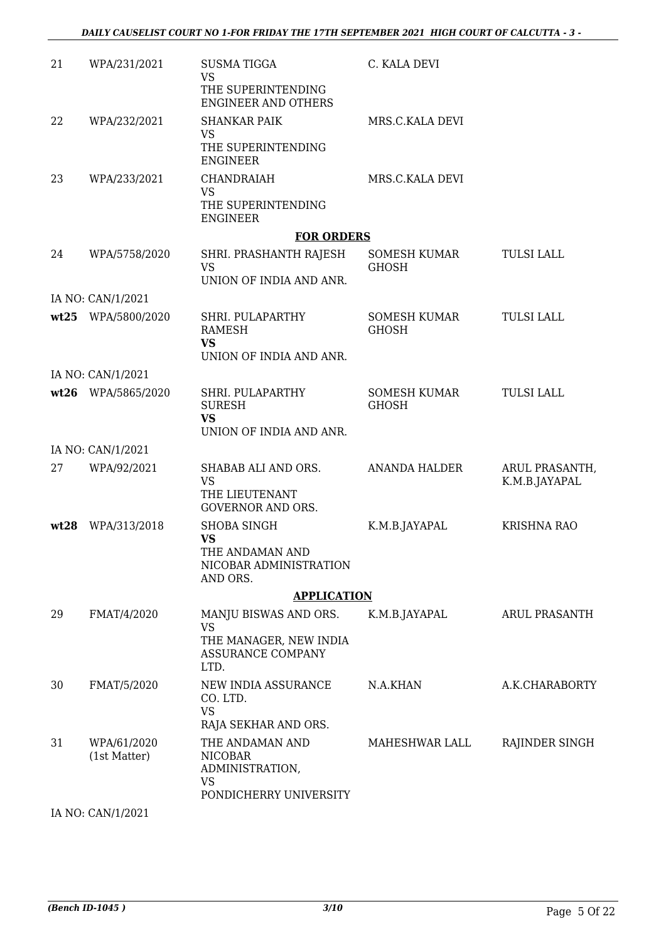| 21   | WPA/231/2021                | <b>SUSMATIGGA</b><br><b>VS</b><br>THE SUPERINTENDING<br><b>ENGINEER AND OTHERS</b>               | C. KALA DEVI                        |                                 |
|------|-----------------------------|--------------------------------------------------------------------------------------------------|-------------------------------------|---------------------------------|
| 22   | WPA/232/2021                | <b>SHANKAR PAIK</b><br>VS<br>THE SUPERINTENDING<br><b>ENGINEER</b>                               | MRS.C.KALA DEVI                     |                                 |
| 23   | WPA/233/2021                | <b>CHANDRAIAH</b><br><b>VS</b><br>THE SUPERINTENDING<br><b>ENGINEER</b>                          | MRS.C.KALA DEVI                     |                                 |
|      |                             | <b>FOR ORDERS</b>                                                                                |                                     |                                 |
| 24   | WPA/5758/2020               | SHRI. PRASHANTH RAJESH<br><b>VS</b><br>UNION OF INDIA AND ANR.                                   | SOMESH KUMAR<br><b>GHOSH</b>        | <b>TULSI LALL</b>               |
|      | IA NO: CAN/1/2021           |                                                                                                  |                                     |                                 |
|      | wt25 WPA/5800/2020          | SHRI. PULAPARTHY<br><b>RAMESH</b><br><b>VS</b><br>UNION OF INDIA AND ANR.                        | SOMESH KUMAR<br><b>GHOSH</b>        | <b>TULSI LALL</b>               |
|      | IA NO: CAN/1/2021           |                                                                                                  |                                     |                                 |
|      | wt26 WPA/5865/2020          | SHRI. PULAPARTHY<br><b>SURESH</b><br><b>VS</b><br>UNION OF INDIA AND ANR.                        | <b>SOMESH KUMAR</b><br><b>GHOSH</b> | <b>TULSI LALL</b>               |
|      | IA NO: CAN/1/2021           |                                                                                                  |                                     |                                 |
| 27   | WPA/92/2021                 | SHABAB ALI AND ORS.<br><b>VS</b><br>THE LIEUTENANT<br><b>GOVERNOR AND ORS.</b>                   | <b>ANANDA HALDER</b>                | ARUL PRASANTH,<br>K.M.B.JAYAPAL |
| wt28 | WPA/313/2018                | <b>SHOBA SINGH</b><br><b>VS</b><br>THE ANDAMAN AND<br>NICOBAR ADMINISTRATION<br>AND ORS.         | K.M.B.JAYAPAL                       | <b>KRISHNA RAO</b>              |
|      |                             | <b>APPLICATION</b>                                                                               |                                     |                                 |
| 29   | FMAT/4/2020                 | MANJU BISWAS AND ORS.<br><b>VS</b><br>THE MANAGER, NEW INDIA<br><b>ASSURANCE COMPANY</b><br>LTD. | K.M.B.JAYAPAL                       | <b>ARUL PRASANTH</b>            |
| 30   | FMAT/5/2020                 | NEW INDIA ASSURANCE<br>CO. LTD.<br><b>VS</b><br>RAJA SEKHAR AND ORS.                             | N.A.KHAN                            | A.K.CHARABORTY                  |
| 31   | WPA/61/2020<br>(1st Matter) | THE ANDAMAN AND<br><b>NICOBAR</b><br>ADMINISTRATION,<br><b>VS</b><br>PONDICHERRY UNIVERSITY      | MAHESHWAR LALL                      | RAJINDER SINGH                  |

IA NO: CAN/1/2021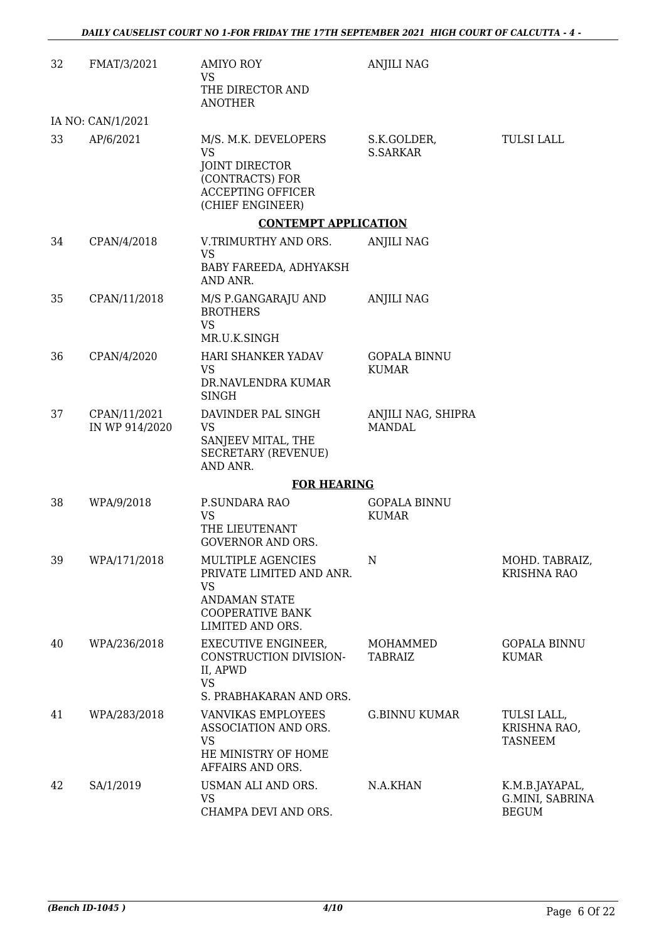| 32 | FMAT/3/2021                    | <b>AMIYO ROY</b><br>VS<br>THE DIRECTOR AND<br><b>ANOTHER</b>                                                                  | <b>ANJILI NAG</b>                   |                                                   |
|----|--------------------------------|-------------------------------------------------------------------------------------------------------------------------------|-------------------------------------|---------------------------------------------------|
|    | IA NO: CAN/1/2021              |                                                                                                                               |                                     |                                                   |
| 33 | AP/6/2021                      | M/S. M.K. DEVELOPERS<br><b>VS</b><br><b>JOINT DIRECTOR</b><br>(CONTRACTS) FOR<br><b>ACCEPTING OFFICER</b><br>(CHIEF ENGINEER) | S.K.GOLDER,<br><b>S.SARKAR</b>      | TULSI LALL                                        |
|    |                                | <b>CONTEMPT APPLICATION</b>                                                                                                   |                                     |                                                   |
| 34 | CPAN/4/2018                    | V.TRIMURTHY AND ORS.<br><b>VS</b><br>BABY FAREEDA, ADHYAKSH<br>AND ANR.                                                       | <b>ANJILI NAG</b>                   |                                                   |
| 35 | CPAN/11/2018                   | M/S P.GANGARAJU AND<br><b>BROTHERS</b><br><b>VS</b><br>MR.U.K.SINGH                                                           | <b>ANJILI NAG</b>                   |                                                   |
| 36 | CPAN/4/2020                    | HARI SHANKER YADAV<br><b>VS</b><br>DR.NAVLENDRA KUMAR<br><b>SINGH</b>                                                         | <b>GOPALA BINNU</b><br><b>KUMAR</b> |                                                   |
| 37 | CPAN/11/2021<br>IN WP 914/2020 | DAVINDER PAL SINGH<br><b>VS</b><br>SANJEEV MITAL, THE<br><b>SECRETARY (REVENUE)</b><br>AND ANR.                               | ANJILI NAG, SHIPRA<br><b>MANDAL</b> |                                                   |
|    |                                | <b>FOR HEARING</b>                                                                                                            |                                     |                                                   |
| 38 | WPA/9/2018                     | P.SUNDARA RAO<br><b>VS</b><br>THE LIEUTENANT<br><b>GOVERNOR AND ORS.</b>                                                      | <b>GOPALA BINNU</b><br><b>KUMAR</b> |                                                   |
| 39 | WPA/171/2018                   | MULTIPLE AGENCIES<br>PRIVATE LIMITED AND ANR.<br>VS<br><b>ANDAMAN STATE</b><br><b>COOPERATIVE BANK</b><br>LIMITED AND ORS.    | N                                   | MOHD. TABRAIZ,<br><b>KRISHNA RAO</b>              |
| 40 | WPA/236/2018                   | EXECUTIVE ENGINEER,<br>CONSTRUCTION DIVISION-<br>II, APWD<br><b>VS</b><br>S. PRABHAKARAN AND ORS.                             | MOHAMMED<br>TABRAIZ                 | <b>GOPALA BINNU</b><br><b>KUMAR</b>               |
| 41 | WPA/283/2018                   | VANVIKAS EMPLOYEES<br>ASSOCIATION AND ORS.<br><b>VS</b><br>HE MINISTRY OF HOME<br>AFFAIRS AND ORS.                            | <b>G.BINNU KUMAR</b>                | TULSI LALL,<br>KRISHNA RAO,<br>TASNEEM            |
| 42 | SA/1/2019                      | USMAN ALI AND ORS.<br><b>VS</b><br>CHAMPA DEVI AND ORS.                                                                       | N.A.KHAN                            | K.M.B.JAYAPAL,<br>G.MINI, SABRINA<br><b>BEGUM</b> |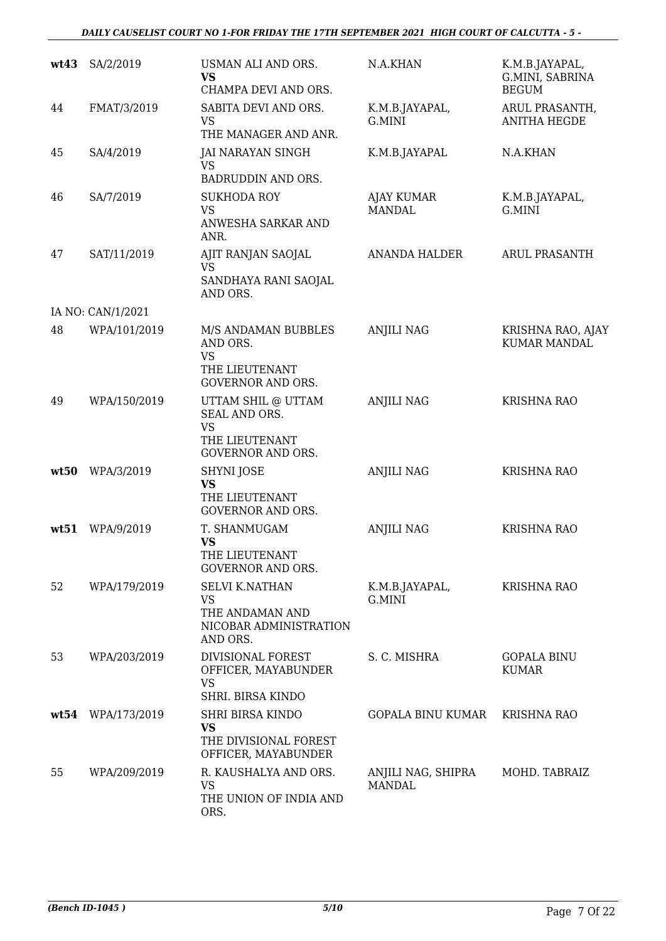### *DAILY CAUSELIST COURT NO 1-FOR FRIDAY THE 17TH SEPTEMBER 2021 HIGH COURT OF CALCUTTA - 5 -*

| wt43 | SA/2/2019         | USMAN ALI AND ORS.<br><b>VS</b><br>CHAMPA DEVI AND ORS.                                        | N.A.KHAN                            | K.M.B.JAYAPAL,<br>G.MINI, SABRINA<br><b>BEGUM</b> |
|------|-------------------|------------------------------------------------------------------------------------------------|-------------------------------------|---------------------------------------------------|
| 44   | FMAT/3/2019       | SABITA DEVI AND ORS.<br><b>VS</b><br>THE MANAGER AND ANR.                                      | K.M.B.JAYAPAL,<br>G.MINI            | ARUL PRASANTH,<br><b>ANITHA HEGDE</b>             |
| 45   | SA/4/2019         | <b>JAI NARAYAN SINGH</b><br>VS<br>BADRUDDIN AND ORS.                                           | K.M.B.JAYAPAL                       | N.A.KHAN                                          |
| 46   | SA/7/2019         | <b>SUKHODA ROY</b><br>VS<br>ANWESHA SARKAR AND<br>ANR.                                         | AJAY KUMAR<br>MANDAL                | K.M.B.JAYAPAL,<br>G.MINI                          |
| 47   | SAT/11/2019       | AJIT RANJAN SAOJAL<br><b>VS</b><br>SANDHAYA RANI SAOJAL<br>AND ORS.                            | <b>ANANDA HALDER</b>                | <b>ARUL PRASANTH</b>                              |
|      | IA NO: CAN/1/2021 |                                                                                                |                                     |                                                   |
| 48   | WPA/101/2019      | M/S ANDAMAN BUBBLES<br>AND ORS.<br><b>VS</b><br>THE LIEUTENANT<br><b>GOVERNOR AND ORS.</b>     | <b>ANJILI NAG</b>                   | KRISHNA RAO, AJAY<br><b>KUMAR MANDAL</b>          |
| 49   | WPA/150/2019      | UTTAM SHIL @ UTTAM<br>SEAL AND ORS.<br><b>VS</b><br>THE LIEUTENANT<br><b>GOVERNOR AND ORS.</b> | <b>ANJILI NAG</b>                   | <b>KRISHNA RAO</b>                                |
| wt50 | WPA/3/2019        | SHYNI JOSE<br><b>VS</b><br>THE LIEUTENANT<br><b>GOVERNOR AND ORS.</b>                          | <b>ANJILI NAG</b>                   | <b>KRISHNA RAO</b>                                |
| wt51 | WPA/9/2019        | T. SHANMUGAM<br><b>VS</b><br>THE LIEUTENANT<br><b>GOVERNOR AND ORS.</b>                        | <b>ANJILI NAG</b>                   | <b>KRISHNA RAO</b>                                |
| 52   | WPA/179/2019      | <b>SELVI K.NATHAN</b><br><b>VS</b><br>THE ANDAMAN AND<br>NICOBAR ADMINISTRATION<br>AND ORS.    | K.M.B.JAYAPAL,<br>G.MINI            | <b>KRISHNA RAO</b>                                |
| 53   | WPA/203/2019      | DIVISIONAL FOREST<br>OFFICER, MAYABUNDER<br><b>VS</b><br>SHRI. BIRSA KINDO                     | S. C. MISHRA                        | <b>GOPALA BINU</b><br><b>KUMAR</b>                |
| wt54 | WPA/173/2019      | <b>SHRI BIRSA KINDO</b><br>VS<br>THE DIVISIONAL FOREST<br>OFFICER, MAYABUNDER                  | <b>GOPALA BINU KUMAR</b>            | <b>KRISHNA RAO</b>                                |
| 55   | WPA/209/2019      | R. KAUSHALYA AND ORS.<br><b>VS</b><br>THE UNION OF INDIA AND<br>ORS.                           | ANJILI NAG, SHIPRA<br><b>MANDAL</b> | MOHD. TABRAIZ                                     |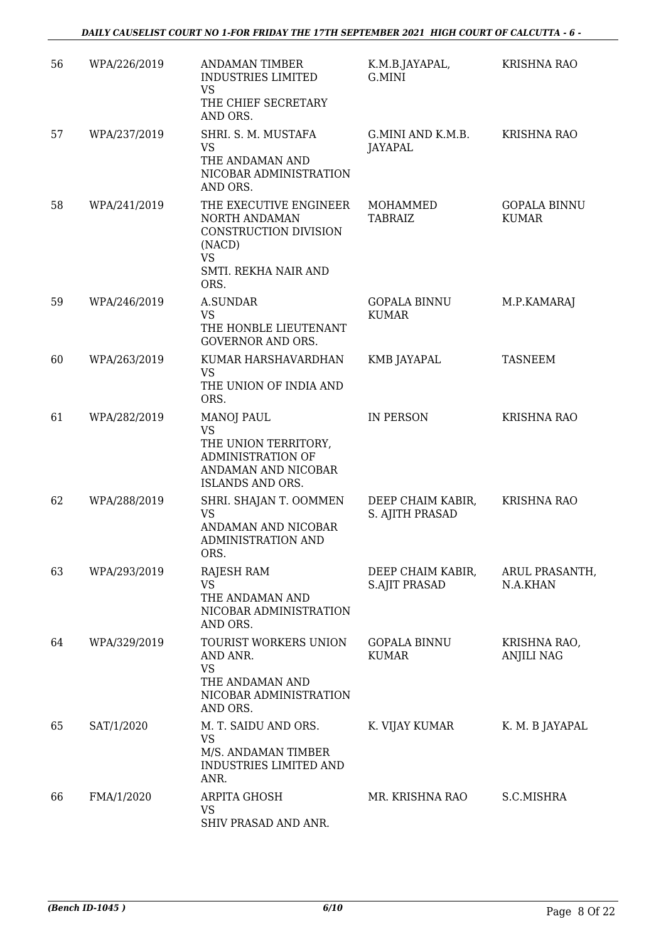| 56 | WPA/226/2019 | <b>ANDAMAN TIMBER</b>                                                                                                  | K.M.B.JAYAPAL,                            | <b>KRISHNA RAO</b>                  |
|----|--------------|------------------------------------------------------------------------------------------------------------------------|-------------------------------------------|-------------------------------------|
|    |              | <b>INDUSTRIES LIMITED</b><br><b>VS</b><br>THE CHIEF SECRETARY                                                          | G.MINI                                    |                                     |
|    |              | AND ORS.                                                                                                               |                                           |                                     |
| 57 | WPA/237/2019 | SHRI. S. M. MUSTAFA<br><b>VS</b>                                                                                       | G.MINI AND K.M.B.<br>JAYAPAL              | KRISHNA RAO                         |
|    |              | THE ANDAMAN AND<br>NICOBAR ADMINISTRATION<br>AND ORS.                                                                  |                                           |                                     |
| 58 | WPA/241/2019 | THE EXECUTIVE ENGINEER<br>NORTH ANDAMAN<br>CONSTRUCTION DIVISION<br>(NACD)<br><b>VS</b>                                | <b>MOHAMMED</b><br><b>TABRAIZ</b>         | <b>GOPALA BINNU</b><br><b>KUMAR</b> |
|    |              | SMTI. REKHA NAIR AND<br>ORS.                                                                                           |                                           |                                     |
| 59 | WPA/246/2019 | <b>A.SUNDAR</b><br><b>VS</b><br>THE HONBLE LIEUTENANT<br><b>GOVERNOR AND ORS.</b>                                      | <b>GOPALA BINNU</b><br><b>KUMAR</b>       | M.P.KAMARAJ                         |
| 60 | WPA/263/2019 | KUMAR HARSHAVARDHAN                                                                                                    | <b>KMB JAYAPAL</b>                        | <b>TASNEEM</b>                      |
|    |              | <b>VS</b><br>THE UNION OF INDIA AND                                                                                    |                                           |                                     |
|    |              | ORS.                                                                                                                   |                                           |                                     |
| 61 | WPA/282/2019 | <b>MANOJ PAUL</b><br><b>VS</b><br>THE UNION TERRITORY,<br>ADMINISTRATION OF<br>ANDAMAN AND NICOBAR<br>ISLANDS AND ORS. | <b>IN PERSON</b>                          | <b>KRISHNA RAO</b>                  |
| 62 | WPA/288/2019 | SHRI. SHAJAN T. OOMMEN<br><b>VS</b><br>ANDAMAN AND NICOBAR<br><b>ADMINISTRATION AND</b><br>ORS.                        | DEEP CHAIM KABIR,<br>S. AJITH PRASAD      | <b>KRISHNA RAO</b>                  |
| 63 | WPA/293/2019 | RAJESH RAM<br><b>VS</b><br>THE ANDAMAN AND<br>NICOBAR ADMINISTRATION<br>AND ORS.                                       | DEEP CHAIM KABIR,<br><b>S.AJIT PRASAD</b> | ARUL PRASANTH,<br>N.A.KHAN          |
| 64 | WPA/329/2019 | TOURIST WORKERS UNION<br>AND ANR.                                                                                      | <b>GOPALA BINNU</b><br><b>KUMAR</b>       | KRISHNA RAO,<br><b>ANJILI NAG</b>   |
|    |              | <b>VS</b><br>THE ANDAMAN AND<br>NICOBAR ADMINISTRATION<br>AND ORS.                                                     |                                           |                                     |
| 65 | SAT/1/2020   | M. T. SAIDU AND ORS.<br><b>VS</b><br>M/S. ANDAMAN TIMBER<br>INDUSTRIES LIMITED AND<br>ANR.                             | K. VIJAY KUMAR                            | K. M. B JAYAPAL                     |
| 66 | FMA/1/2020   | <b>ARPITA GHOSH</b><br><b>VS</b><br>SHIV PRASAD AND ANR.                                                               | MR. KRISHNA RAO                           | S.C.MISHRA                          |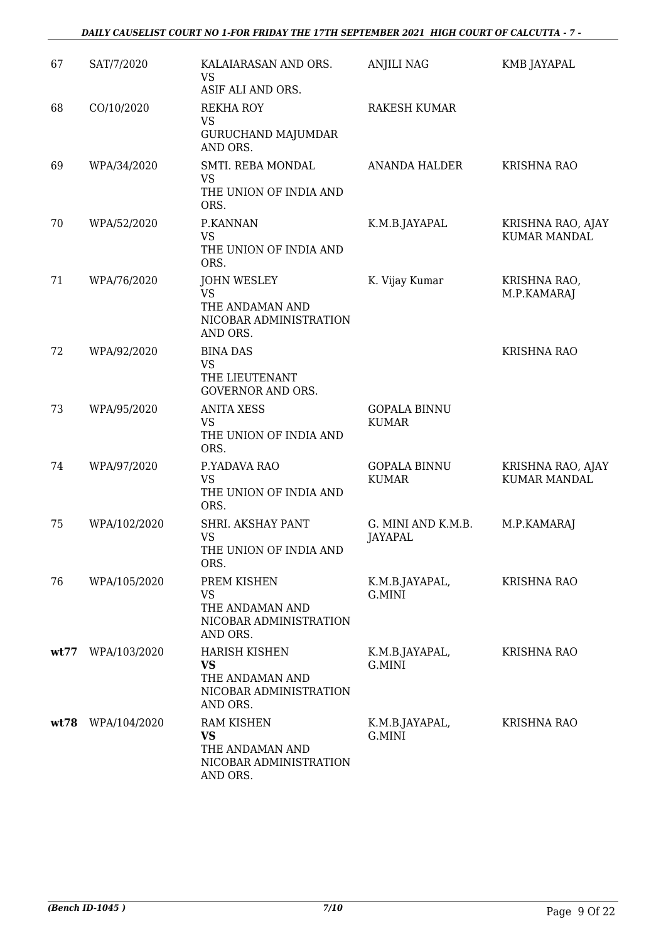#### *DAILY CAUSELIST COURT NO 1-FOR FRIDAY THE 17TH SEPTEMBER 2021 HIGH COURT OF CALCUTTA - 7 -*

| 67   | SAT/7/2020   | KALAIARASAN AND ORS.<br><b>VS</b><br>ASIF ALI AND ORS.                                     | <b>ANJILI NAG</b>                    | KMB JAYAPAL                              |
|------|--------------|--------------------------------------------------------------------------------------------|--------------------------------------|------------------------------------------|
| 68   | CO/10/2020   | <b>REKHA ROY</b><br><b>VS</b><br><b>GURUCHAND MAJUMDAR</b><br>AND ORS.                     | <b>RAKESH KUMAR</b>                  |                                          |
| 69   | WPA/34/2020  | SMTI. REBA MONDAL<br>VS.<br>THE UNION OF INDIA AND<br>ORS.                                 | ANANDA HALDER                        | <b>KRISHNA RAO</b>                       |
| 70   | WPA/52/2020  | P.KANNAN<br><b>VS</b><br>THE UNION OF INDIA AND<br>ORS.                                    | K.M.B.JAYAPAL                        | KRISHNA RAO, AJAY<br><b>KUMAR MANDAL</b> |
| 71   | WPA/76/2020  | <b>JOHN WESLEY</b><br><b>VS</b><br>THE ANDAMAN AND<br>NICOBAR ADMINISTRATION<br>AND ORS.   | K. Vijay Kumar                       | KRISHNA RAO,<br>M.P.KAMARAJ              |
| 72   | WPA/92/2020  | <b>BINA DAS</b><br><b>VS</b><br>THE LIEUTENANT<br><b>GOVERNOR AND ORS.</b>                 |                                      | <b>KRISHNA RAO</b>                       |
| 73   | WPA/95/2020  | <b>ANITA XESS</b><br><b>VS</b><br>THE UNION OF INDIA AND<br>ORS.                           | <b>GOPALA BINNU</b><br><b>KUMAR</b>  |                                          |
| 74   | WPA/97/2020  | P.YADAVA RAO<br><b>VS</b><br>THE UNION OF INDIA AND<br>ORS.                                | <b>GOPALA BINNU</b><br><b>KUMAR</b>  | KRISHNA RAO, AJAY<br><b>KUMAR MANDAL</b> |
| 75   | WPA/102/2020 | SHRI. AKSHAY PANT<br><b>VS</b><br>THE UNION OF INDIA AND<br>ORS.                           | G. MINI AND K.M.B.<br><b>JAYAPAL</b> | M.P.KAMARAJ                              |
| 76   | WPA/105/2020 | PREM KISHEN<br><b>VS</b><br>THE ANDAMAN AND<br>NICOBAR ADMINISTRATION<br>AND ORS.          | K.M.B.JAYAPAL,<br>G.MINI             | <b>KRISHNA RAO</b>                       |
| wt77 | WPA/103/2020 | <b>HARISH KISHEN</b><br><b>VS</b><br>THE ANDAMAN AND<br>NICOBAR ADMINISTRATION<br>AND ORS. | K.M.B.JAYAPAL,<br>G.MINI             | <b>KRISHNA RAO</b>                       |
| wt78 | WPA/104/2020 | <b>RAM KISHEN</b><br><b>VS</b><br>THE ANDAMAN AND<br>NICOBAR ADMINISTRATION<br>AND ORS.    | K.M.B.JAYAPAL,<br>G.MINI             | KRISHNA RAO                              |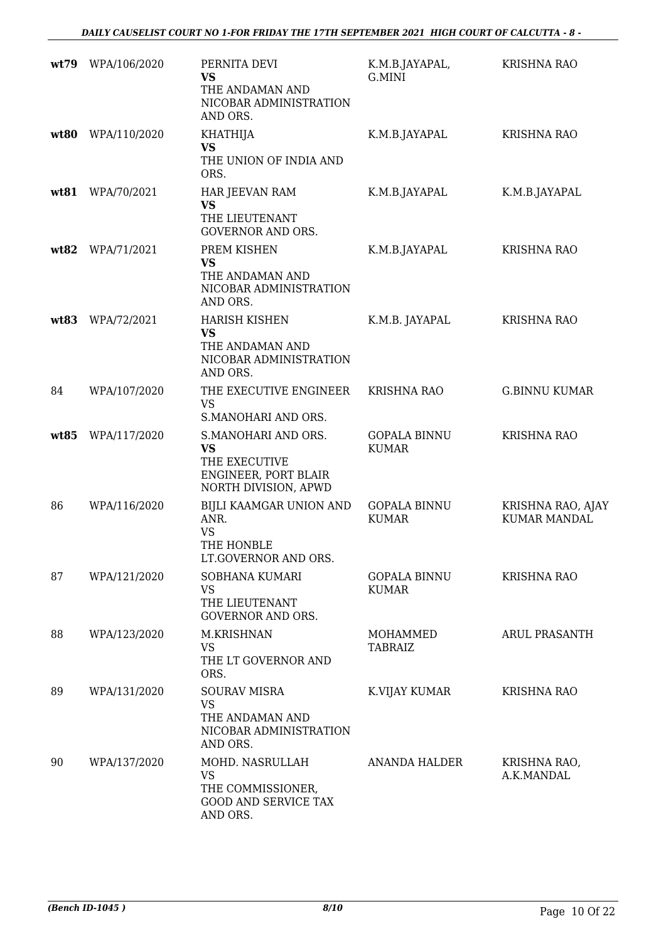| wt79 | WPA/106/2020 | PERNITA DEVI<br>VS<br>THE ANDAMAN AND<br>NICOBAR ADMINISTRATION<br>AND ORS.                       | K.M.B.JAYAPAL,<br>G.MINI            | <b>KRISHNA RAO</b>                       |
|------|--------------|---------------------------------------------------------------------------------------------------|-------------------------------------|------------------------------------------|
| wt80 | WPA/110/2020 | KHATHIJA<br><b>VS</b><br>THE UNION OF INDIA AND<br>ORS.                                           | K.M.B.JAYAPAL                       | <b>KRISHNA RAO</b>                       |
| wt81 | WPA/70/2021  | HAR JEEVAN RAM<br><b>VS</b><br>THE LIEUTENANT<br><b>GOVERNOR AND ORS.</b>                         | K.M.B.JAYAPAL                       | K.M.B.JAYAPAL                            |
| wt82 | WPA/71/2021  | PREM KISHEN<br><b>VS</b><br>THE ANDAMAN AND<br>NICOBAR ADMINISTRATION<br>AND ORS.                 | K.M.B.JAYAPAL                       | KRISHNA RAO                              |
| wt83 | WPA/72/2021  | <b>HARISH KISHEN</b><br><b>VS</b><br>THE ANDAMAN AND<br>NICOBAR ADMINISTRATION<br>AND ORS.        | K.M.B. JAYAPAL                      | <b>KRISHNA RAO</b>                       |
| 84   | WPA/107/2020 | THE EXECUTIVE ENGINEER<br><b>VS</b><br>S.MANOHARI AND ORS.                                        | <b>KRISHNA RAO</b>                  | <b>G.BINNU KUMAR</b>                     |
| wt85 | WPA/117/2020 | S.MANOHARI AND ORS.<br><b>VS</b><br>THE EXECUTIVE<br>ENGINEER, PORT BLAIR<br>NORTH DIVISION, APWD | <b>GOPALA BINNU</b><br><b>KUMAR</b> | <b>KRISHNA RAO</b>                       |
| 86   | WPA/116/2020 | BIJLI KAAMGAR UNION AND<br>ANR.<br><b>VS</b><br>THE HONBLE<br>LT.GOVERNOR AND ORS.                | <b>GOPALA BINNU</b><br><b>KUMAR</b> | KRISHNA RAO, AJAY<br><b>KUMAR MANDAL</b> |
| 87   | WPA/121/2020 | <b>SOBHANA KUMARI</b><br><b>VS</b><br>THE LIEUTENANT<br><b>GOVERNOR AND ORS.</b>                  | <b>GOPALA BINNU</b><br><b>KUMAR</b> | <b>KRISHNA RAO</b>                       |
| 88   | WPA/123/2020 | M.KRISHNAN<br>VS<br>THE LT GOVERNOR AND<br>ORS.                                                   | MOHAMMED<br><b>TABRAIZ</b>          | <b>ARUL PRASANTH</b>                     |
| 89   | WPA/131/2020 | <b>SOURAV MISRA</b><br><b>VS</b><br>THE ANDAMAN AND<br>NICOBAR ADMINISTRATION<br>AND ORS.         | K.VIJAY KUMAR                       | <b>KRISHNA RAO</b>                       |
| 90   | WPA/137/2020 | MOHD. NASRULLAH<br>VS<br>THE COMMISSIONER,<br><b>GOOD AND SERVICE TAX</b><br>AND ORS.             | <b>ANANDA HALDER</b>                | KRISHNA RAO,<br>A.K.MANDAL               |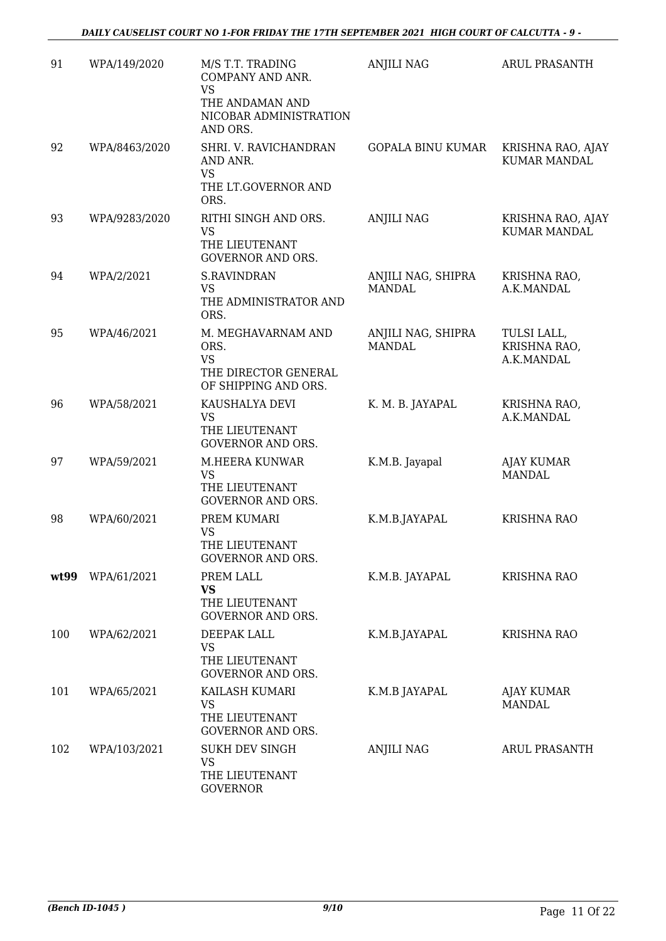| 91   | WPA/149/2020  | M/S T.T. TRADING<br>COMPANY AND ANR.<br><b>VS</b><br>THE ANDAMAN AND<br>NICOBAR ADMINISTRATION<br>AND ORS. | <b>ANJILI NAG</b>                   | <b>ARUL PRASANTH</b>                      |
|------|---------------|------------------------------------------------------------------------------------------------------------|-------------------------------------|-------------------------------------------|
| 92   | WPA/8463/2020 | SHRI. V. RAVICHANDRAN<br>AND ANR.<br>VS<br>THE LT.GOVERNOR AND<br>ORS.                                     | <b>GOPALA BINU KUMAR</b>            | KRISHNA RAO, AJAY<br><b>KUMAR MANDAL</b>  |
| 93   | WPA/9283/2020 | RITHI SINGH AND ORS.<br><b>VS</b><br>THE LIEUTENANT<br><b>GOVERNOR AND ORS.</b>                            | <b>ANJILI NAG</b>                   | KRISHNA RAO, AJAY<br><b>KUMAR MANDAL</b>  |
| 94   | WPA/2/2021    | <b>S.RAVINDRAN</b><br><b>VS</b><br>THE ADMINISTRATOR AND<br>ORS.                                           | ANJILI NAG, SHIPRA<br><b>MANDAL</b> | KRISHNA RAO,<br>A.K.MANDAL                |
| 95   | WPA/46/2021   | M. MEGHAVARNAM AND<br>ORS.<br><b>VS</b><br>THE DIRECTOR GENERAL<br>OF SHIPPING AND ORS.                    | ANJILI NAG, SHIPRA<br><b>MANDAL</b> | TULSI LALL,<br>KRISHNA RAO,<br>A.K.MANDAL |
| 96   | WPA/58/2021   | KAUSHALYA DEVI<br><b>VS</b><br>THE LIEUTENANT<br><b>GOVERNOR AND ORS.</b>                                  | K. M. B. JAYAPAL                    | KRISHNA RAO,<br>A.K.MANDAL                |
| 97   | WPA/59/2021   | M.HEERA KUNWAR<br><b>VS</b><br>THE LIEUTENANT<br><b>GOVERNOR AND ORS.</b>                                  | K.M.B. Jayapal                      | <b>AJAY KUMAR</b><br><b>MANDAL</b>        |
| 98   | WPA/60/2021   | PREM KUMARI<br><b>VS</b><br>THE LIEUTENANT<br><b>GOVERNOR AND ORS.</b>                                     | K.M.B.JAYAPAL                       | <b>KRISHNA RAO</b>                        |
| wt99 | WPA/61/2021   | PREM LALL<br><b>VS</b><br>THE LIEUTENANT<br><b>GOVERNOR AND ORS.</b>                                       | K.M.B. JAYAPAL                      | <b>KRISHNA RAO</b>                        |
| 100  | WPA/62/2021   | DEEPAK LALL<br><b>VS</b><br>THE LIEUTENANT<br><b>GOVERNOR AND ORS.</b>                                     | K.M.B.JAYAPAL                       | <b>KRISHNA RAO</b>                        |
| 101  | WPA/65/2021   | KAILASH KUMARI<br><b>VS</b><br>THE LIEUTENANT<br><b>GOVERNOR AND ORS.</b>                                  | K.M.B JAYAPAL                       | <b>AJAY KUMAR</b><br>MANDAL               |
| 102  | WPA/103/2021  | <b>SUKH DEV SINGH</b><br><b>VS</b><br>THE LIEUTENANT<br><b>GOVERNOR</b>                                    | ANJILI NAG                          | ARUL PRASANTH                             |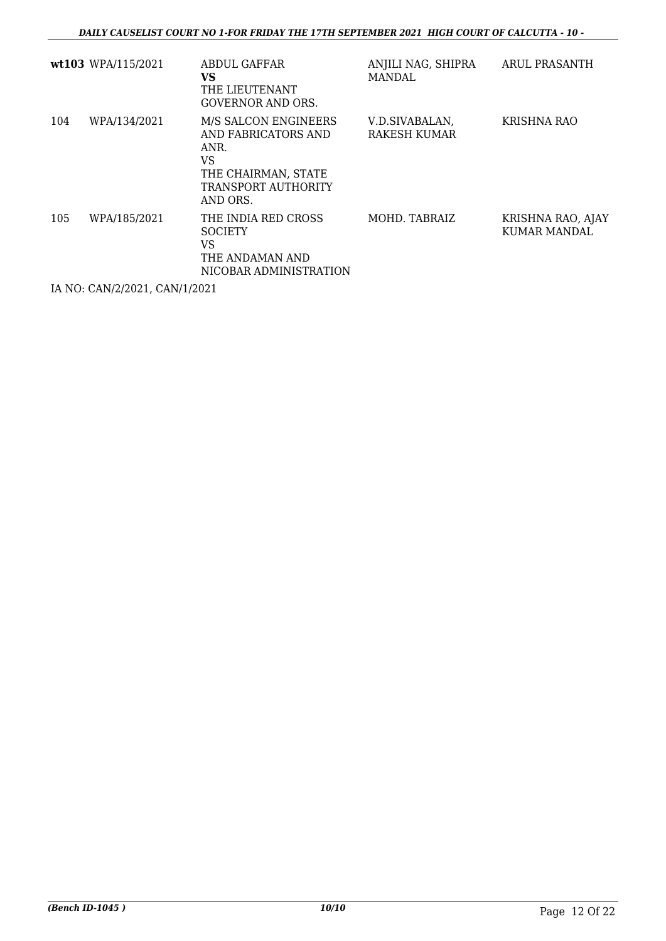|     | wt103 WPA/115/2021 | ABDUL GAFFAR<br>VS<br>THE LIEUTENANT<br>GOVERNOR AND ORS.                                                           | ANJILI NAG, SHIPRA<br><b>MANDAL</b> | ARUL PRASANTH                            |
|-----|--------------------|---------------------------------------------------------------------------------------------------------------------|-------------------------------------|------------------------------------------|
| 104 | WPA/134/2021       | M/S SALCON ENGINEERS<br>AND FABRICATORS AND<br>ANR.<br>VS<br>THE CHAIRMAN, STATE<br>TRANSPORT AUTHORITY<br>AND ORS. | V.D.SIVABALAN,<br>RAKESH KUMAR      | KRISHNA RAO                              |
| 105 | WPA/185/2021       | THE INDIA RED CROSS<br><b>SOCIETY</b><br>VS<br>THE ANDAMAN AND<br>NICOBAR ADMINISTRATION                            | MOHD. TABRAIZ                       | KRISHNA RAO, AJAY<br><b>KUMAR MANDAL</b> |

IA NO: CAN/2/2021, CAN/1/2021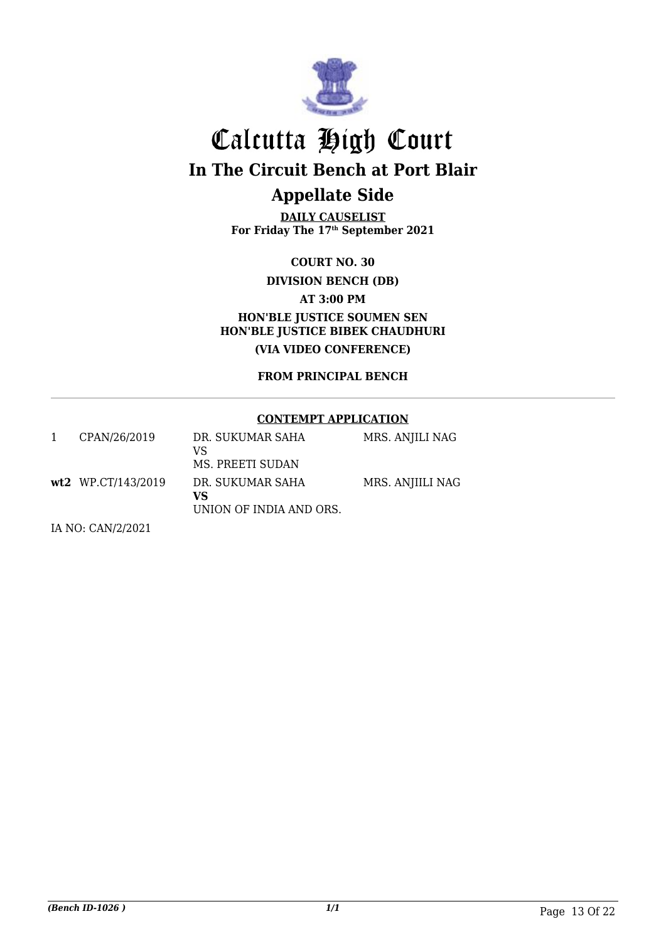

# Calcutta High Court **In The Circuit Bench at Port Blair Appellate Side**

**DAILY CAUSELIST For Friday The 17th September 2021**

**COURT NO. 30**

**DIVISION BENCH (DB)**

**AT 3:00 PM**

**HON'BLE JUSTICE SOUMEN SEN HON'BLE JUSTICE BIBEK CHAUDHURI (VIA VIDEO CONFERENCE)**

**FROM PRINCIPAL BENCH**

#### **CONTEMPT APPLICATION**

| CPAN/26/2019       | DR. SUKUMAR SAHA<br>VS<br>MS. PREETI SUDAN        | MRS. ANJILI NAG  |
|--------------------|---------------------------------------------------|------------------|
| wt2 WP.CT/143/2019 | DR. SUKUMAR SAHA<br>VS<br>UNION OF INDIA AND ORS. | MRS. ANJIILI NAG |

IA NO: CAN/2/2021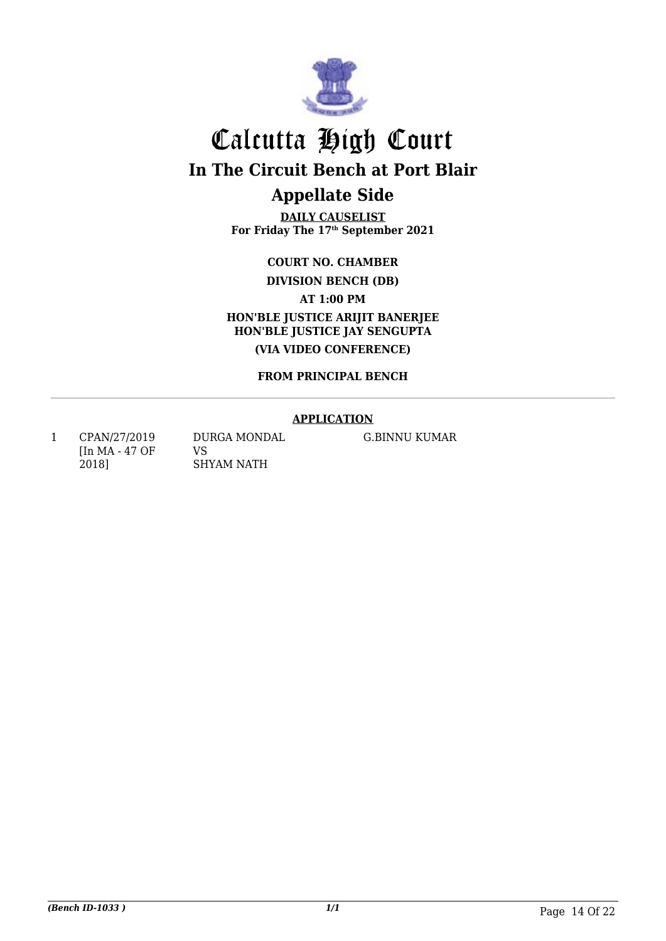

# Calcutta High Court **In The Circuit Bench at Port Blair Appellate Side**

**DAILY CAUSELIST For Friday The 17th September 2021**

**COURT NO. CHAMBER**

**DIVISION BENCH (DB)**

**AT 1:00 PM**

**HON'BLE JUSTICE ARIJIT BANERJEE HON'BLE JUSTICE JAY SENGUPTA (VIA VIDEO CONFERENCE)**

**FROM PRINCIPAL BENCH**

### **APPLICATION**

1 CPAN/27/2019 [In MA - 47 OF 2018]

DURGA MONDAL VS SHYAM NATH

G.BINNU KUMAR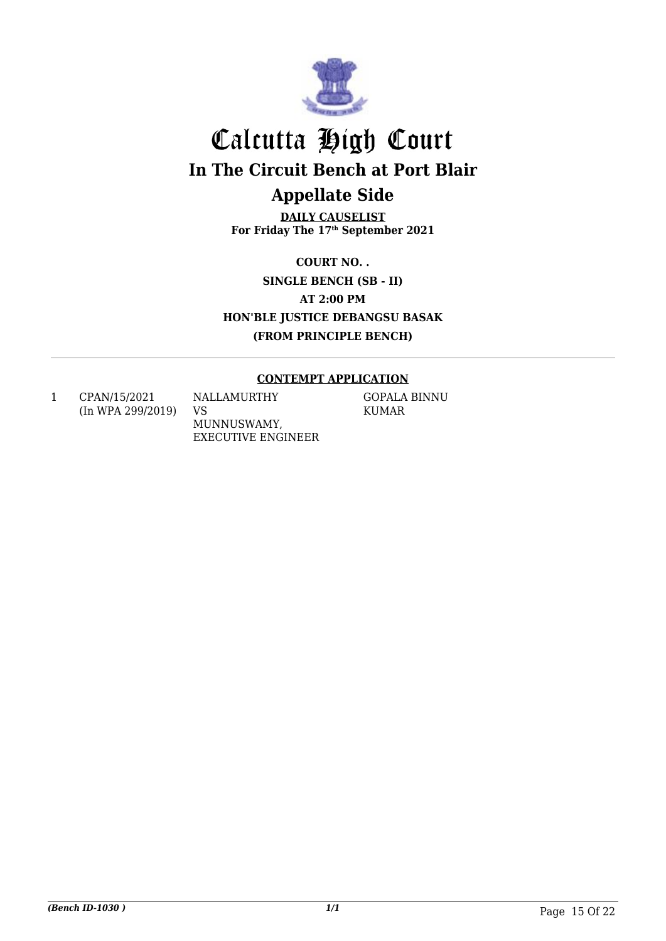

# Calcutta High Court **In The Circuit Bench at Port Blair Appellate Side**

**DAILY CAUSELIST For Friday The 17th September 2021**

**COURT NO. . SINGLE BENCH (SB - II) AT 2:00 PM HON'BLE JUSTICE DEBANGSU BASAK (FROM PRINCIPLE BENCH)**

### **CONTEMPT APPLICATION**

1 CPAN/15/2021 (In WPA 299/2019) NALLAMURTHY VS MUNNUSWAMY, EXECUTIVE ENGINEER GOPALA BINNU KUMAR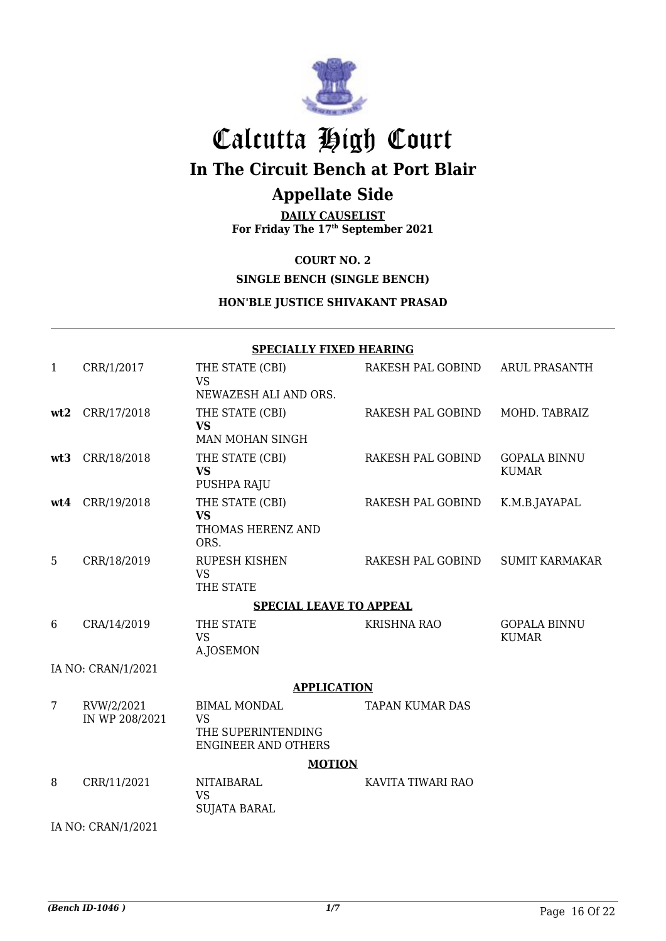

# Calcutta High Court **In The Circuit Bench at Port Blair**

### **Appellate Side**

**DAILY CAUSELIST For Friday The 17th September 2021**

### **COURT NO. 2**

**SINGLE BENCH (SINGLE BENCH)**

### **HON'BLE JUSTICE SHIVAKANT PRASAD**

### **SPECIALLY FIXED HEARING**

| $\mathbf{1}$ | CRR/1/2017                   | THE STATE (CBI)<br><b>VS</b>                                                         | RAKESH PAL GOBIND      | <b>ARUL PRASANTH</b>                |
|--------------|------------------------------|--------------------------------------------------------------------------------------|------------------------|-------------------------------------|
|              |                              | NEWAZESH ALI AND ORS.                                                                |                        |                                     |
| wt2          | CRR/17/2018                  | THE STATE (CBI)<br><b>VS</b><br>MAN MOHAN SINGH                                      | RAKESH PAL GOBIND      | MOHD. TABRAIZ                       |
| wt3          | CRR/18/2018                  | THE STATE (CBI)<br><b>VS</b><br>PUSHPA RAJU                                          | RAKESH PAL GOBIND      | <b>GOPALA BINNU</b><br><b>KUMAR</b> |
| wt4          | CRR/19/2018                  | THE STATE (CBI)<br><b>VS</b><br>THOMAS HERENZ AND<br>ORS.                            | RAKESH PAL GOBIND      | K.M.B.JAYAPAL                       |
| 5            | CRR/18/2019                  | RUPESH KISHEN<br><b>VS</b><br>THE STATE                                              | RAKESH PAL GOBIND      | <b>SUMIT KARMAKAR</b>               |
|              |                              | <b>SPECIAL LEAVE TO APPEAL</b>                                                       |                        |                                     |
| 6            | CRA/14/2019                  | THE STATE<br><b>VS</b><br>A.JOSEMON                                                  | <b>KRISHNA RAO</b>     | <b>GOPALA BINNU</b><br><b>KUMAR</b> |
|              | IA NO: CRAN/1/2021           |                                                                                      |                        |                                     |
|              |                              | <b>APPLICATION</b>                                                                   |                        |                                     |
| 7            | RVW/2/2021<br>IN WP 208/2021 | <b>BIMAL MONDAL</b><br><b>VS</b><br>THE SUPERINTENDING<br><b>ENGINEER AND OTHERS</b> | <b>TAPAN KUMAR DAS</b> |                                     |
|              |                              | <b>MOTION</b>                                                                        |                        |                                     |
| 8            | CRR/11/2021                  | <b>NITAIBARAL</b><br><b>VS</b><br><b>SUJATA BARAL</b>                                | KAVITA TIWARI RAO      |                                     |
|              | IA NO: CRAN/1/2021           |                                                                                      |                        |                                     |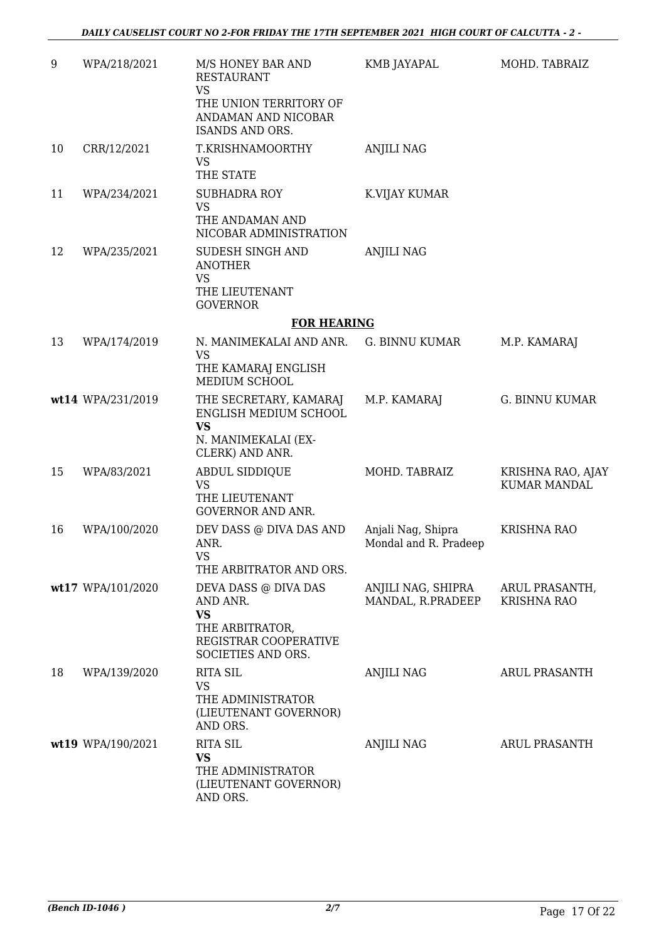| 9  | WPA/218/2021      | M/S HONEY BAR AND<br><b>RESTAURANT</b><br><b>VS</b><br>THE UNION TERRITORY OF<br>ANDAMAN AND NICOBAR<br>ISANDS AND ORS. | KMB JAYAPAL                                 | MOHD. TABRAIZ                            |
|----|-------------------|-------------------------------------------------------------------------------------------------------------------------|---------------------------------------------|------------------------------------------|
| 10 | CRR/12/2021       | T.KRISHNAMOORTHY<br><b>VS</b><br>THE STATE                                                                              | <b>ANJILI NAG</b>                           |                                          |
| 11 | WPA/234/2021      | <b>SUBHADRA ROY</b><br><b>VS</b><br>THE ANDAMAN AND<br>NICOBAR ADMINISTRATION                                           | K.VIJAY KUMAR                               |                                          |
| 12 | WPA/235/2021      | SUDESH SINGH AND<br><b>ANOTHER</b><br>VS<br>THE LIEUTENANT<br><b>GOVERNOR</b>                                           | <b>ANJILI NAG</b>                           |                                          |
|    |                   | <b>FOR HEARING</b>                                                                                                      |                                             |                                          |
| 13 | WPA/174/2019      | N. MANIMEKALAI AND ANR.<br><b>VS</b><br>THE KAMARAJ ENGLISH<br>MEDIUM SCHOOL                                            | G. BINNU KUMAR                              | M.P. KAMARAJ                             |
|    | wt14 WPA/231/2019 | THE SECRETARY, KAMARAJ<br>ENGLISH MEDIUM SCHOOL<br><b>VS</b><br>N. MANIMEKALAI (EX-<br>CLERK) AND ANR.                  | M.P. KAMARAJ                                | <b>G. BINNU KUMAR</b>                    |
| 15 | WPA/83/2021       | ABDUL SIDDIQUE<br><b>VS</b><br>THE LIEUTENANT<br><b>GOVERNOR AND ANR.</b>                                               | MOHD. TABRAIZ                               | KRISHNA RAO, AJAY<br><b>KUMAR MANDAL</b> |
| 16 | WPA/100/2020      | DEV DASS @ DIVA DAS AND<br>ANR.<br>VS<br>THE ARBITRATOR AND ORS.                                                        | Anjali Nag, Shipra<br>Mondal and R. Pradeep | <b>KRISHNA RAO</b>                       |
|    | wt17 WPA/101/2020 | DEVA DASS @ DIVA DAS<br>AND ANR.<br><b>VS</b><br>THE ARBITRATOR,<br>REGISTRAR COOPERATIVE<br>SOCIETIES AND ORS.         | ANJILI NAG, SHIPRA<br>MANDAL, R.PRADEEP     | ARUL PRASANTH,<br><b>KRISHNA RAO</b>     |
| 18 | WPA/139/2020      | <b>RITA SIL</b><br><b>VS</b><br>THE ADMINISTRATOR<br>(LIEUTENANT GOVERNOR)<br>AND ORS.                                  | <b>ANJILI NAG</b>                           | <b>ARUL PRASANTH</b>                     |
|    | wt19 WPA/190/2021 | <b>RITA SIL</b><br>VS<br>THE ADMINISTRATOR<br>(LIEUTENANT GOVERNOR)<br>AND ORS.                                         | <b>ANJILI NAG</b>                           | ARUL PRASANTH                            |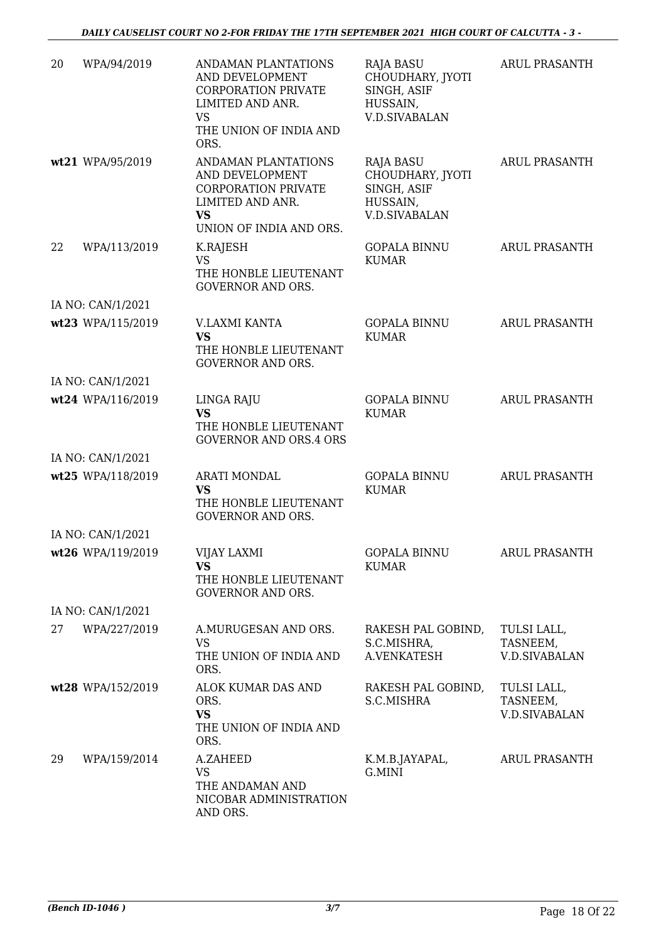| 20 | WPA/94/2019       | ANDAMAN PLANTATIONS<br>AND DEVELOPMENT<br><b>CORPORATION PRIVATE</b><br>LIMITED AND ANR.<br><b>VS</b><br>THE UNION OF INDIA AND<br>ORS. | <b>RAJA BASU</b><br>CHOUDHARY, JYOTI<br>SINGH, ASIF<br>HUSSAIN,<br>V.D.SIVABALAN        | <b>ARUL PRASANTH</b>                            |
|----|-------------------|-----------------------------------------------------------------------------------------------------------------------------------------|-----------------------------------------------------------------------------------------|-------------------------------------------------|
|    | wt21 WPA/95/2019  | ANDAMAN PLANTATIONS<br>AND DEVELOPMENT<br><b>CORPORATION PRIVATE</b><br>LIMITED AND ANR.<br><b>VS</b><br>UNION OF INDIA AND ORS.        | <b>RAJA BASU</b><br>CHOUDHARY, JYOTI<br>SINGH, ASIF<br>HUSSAIN,<br><b>V.D.SIVABALAN</b> | <b>ARUL PRASANTH</b>                            |
| 22 | WPA/113/2019      | K.RAJESH<br><b>VS</b><br>THE HONBLE LIEUTENANT<br><b>GOVERNOR AND ORS.</b>                                                              | <b>GOPALA BINNU</b><br><b>KUMAR</b>                                                     | <b>ARUL PRASANTH</b>                            |
|    | IA NO: CAN/1/2021 |                                                                                                                                         |                                                                                         |                                                 |
|    | wt23 WPA/115/2019 | V.LAXMI KANTA<br><b>VS</b><br>THE HONBLE LIEUTENANT<br><b>GOVERNOR AND ORS.</b>                                                         | <b>GOPALA BINNU</b><br><b>KUMAR</b>                                                     | <b>ARUL PRASANTH</b>                            |
|    | IA NO: CAN/1/2021 |                                                                                                                                         |                                                                                         |                                                 |
|    | wt24 WPA/116/2019 | LINGA RAJU<br><b>VS</b><br>THE HONBLE LIEUTENANT<br><b>GOVERNOR AND ORS.4 ORS</b>                                                       | <b>GOPALA BINNU</b><br><b>KUMAR</b>                                                     | ARUL PRASANTH                                   |
|    | IA NO: CAN/1/2021 |                                                                                                                                         |                                                                                         |                                                 |
|    | wt25 WPA/118/2019 | <b>ARATI MONDAL</b><br><b>VS</b><br>THE HONBLE LIEUTENANT<br><b>GOVERNOR AND ORS.</b>                                                   | <b>GOPALA BINNU</b><br><b>KUMAR</b>                                                     | <b>ARUL PRASANTH</b>                            |
|    | IA NO: CAN/1/2021 |                                                                                                                                         |                                                                                         |                                                 |
|    | wt26 WPA/119/2019 | VIJAY LAXMI<br><b>VS</b><br>THE HONBLE LIEUTENANT<br><b>GOVERNOR AND ORS.</b>                                                           | <b>GOPALA BINNU</b><br><b>KUMAR</b>                                                     | ARUL PRASANTH                                   |
|    | IA NO: CAN/1/2021 |                                                                                                                                         |                                                                                         |                                                 |
| 27 | WPA/227/2019      | A.MURUGESAN AND ORS.<br><b>VS</b><br>THE UNION OF INDIA AND<br>ORS.                                                                     | RAKESH PAL GOBIND,<br>S.C.MISHRA,<br>A.VENKATESH                                        | TULSI LALL,<br>TASNEEM,<br><b>V.D.SIVABALAN</b> |
|    | wt28 WPA/152/2019 | ALOK KUMAR DAS AND<br>ORS.<br><b>VS</b><br>THE UNION OF INDIA AND<br>ORS.                                                               | RAKESH PAL GOBIND,<br>S.C.MISHRA                                                        | TULSI LALL,<br>TASNEEM,<br><b>V.D.SIVABALAN</b> |
| 29 | WPA/159/2014      | A.ZAHEED<br><b>VS</b><br>THE ANDAMAN AND<br>NICOBAR ADMINISTRATION<br>AND ORS.                                                          | K.M.B.JAYAPAL,<br>G.MINI                                                                | ARUL PRASANTH                                   |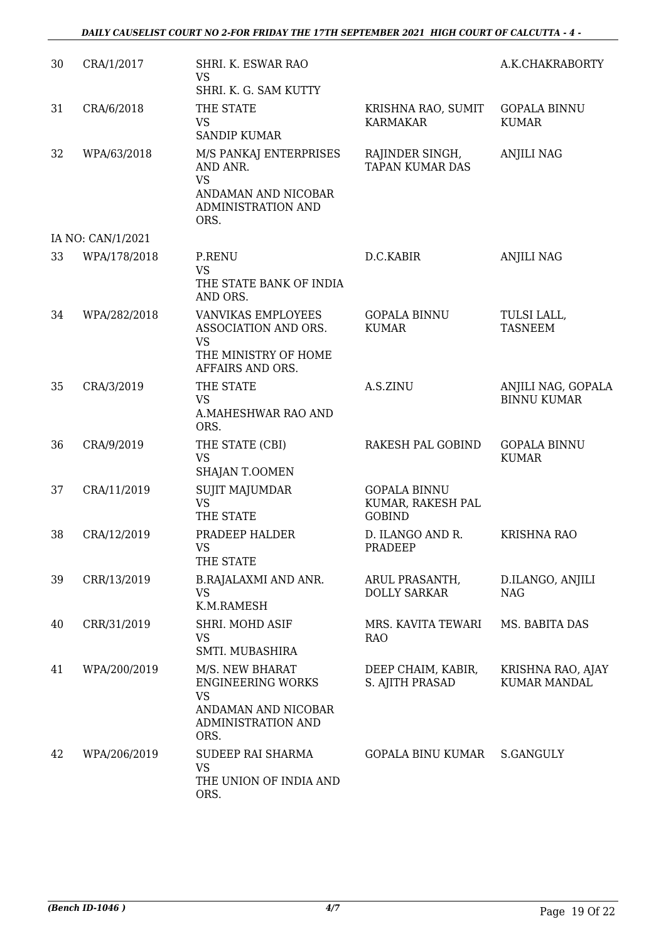| 30 | CRA/1/2017        | SHRI. K. ESWAR RAO<br><b>VS</b>                                                                               |                                                           | A.K.CHAKRABORTY                          |
|----|-------------------|---------------------------------------------------------------------------------------------------------------|-----------------------------------------------------------|------------------------------------------|
| 31 | CRA/6/2018        | SHRI. K. G. SAM KUTTY<br>THE STATE<br><b>VS</b><br><b>SANDIP KUMAR</b>                                        | KRISHNA RAO, SUMIT<br><b>KARMAKAR</b>                     | <b>GOPALA BINNU</b><br><b>KUMAR</b>      |
| 32 | WPA/63/2018       | M/S PANKAJ ENTERPRISES<br>AND ANR.<br><b>VS</b><br>ANDAMAN AND NICOBAR<br><b>ADMINISTRATION AND</b><br>ORS.   | RAJINDER SINGH,<br><b>TAPAN KUMAR DAS</b>                 | <b>ANJILI NAG</b>                        |
|    | IA NO: CAN/1/2021 |                                                                                                               |                                                           |                                          |
| 33 | WPA/178/2018      | <b>P.RENU</b><br><b>VS</b><br>THE STATE BANK OF INDIA<br>AND ORS.                                             | D.C.KABIR                                                 | <b>ANJILI NAG</b>                        |
| 34 | WPA/282/2018      | VANVIKAS EMPLOYEES<br>ASSOCIATION AND ORS.<br><b>VS</b><br>THE MINISTRY OF HOME<br>AFFAIRS AND ORS.           | <b>GOPALA BINNU</b><br><b>KUMAR</b>                       | TULSI LALL,<br><b>TASNEEM</b>            |
| 35 | CRA/3/2019        | THE STATE<br><b>VS</b><br>A.MAHESHWAR RAO AND<br>ORS.                                                         | A.S.ZINU                                                  | ANJILI NAG, GOPALA<br><b>BINNU KUMAR</b> |
| 36 | CRA/9/2019        | THE STATE (CBI)<br><b>VS</b><br>SHAJAN T.OOMEN                                                                | RAKESH PAL GOBIND                                         | <b>GOPALA BINNU</b><br><b>KUMAR</b>      |
| 37 | CRA/11/2019       | <b>SUJIT MAJUMDAR</b><br><b>VS</b><br>THE STATE                                                               | <b>GOPALA BINNU</b><br>KUMAR, RAKESH PAL<br><b>GOBIND</b> |                                          |
| 38 | CRA/12/2019       | PRADEEP HALDER<br><b>VS</b><br>THE STATE                                                                      | D. ILANGO AND R.<br><b>PRADEEP</b>                        | <b>KRISHNA RAO</b>                       |
| 39 | CRR/13/2019       | <b>B.RAJALAXMI AND ANR.</b><br><b>VS</b><br>K.M.RAMESH                                                        | ARUL PRASANTH,<br><b>DOLLY SARKAR</b>                     | D.ILANGO, ANJILI<br><b>NAG</b>           |
| 40 | CRR/31/2019       | SHRI. MOHD ASIF<br><b>VS</b><br>SMTI. MUBASHIRA                                                               | MRS. KAVITA TEWARI<br><b>RAO</b>                          | MS. BABITA DAS                           |
| 41 | WPA/200/2019      | M/S. NEW BHARAT<br><b>ENGINEERING WORKS</b><br><b>VS</b><br>ANDAMAN AND NICOBAR<br>ADMINISTRATION AND<br>ORS. | DEEP CHAIM, KABIR,<br>S. AJITH PRASAD                     | KRISHNA RAO, AJAY<br>KUMAR MANDAL        |
| 42 | WPA/206/2019      | SUDEEP RAI SHARMA<br><b>VS</b><br>THE UNION OF INDIA AND<br>ORS.                                              | <b>GOPALA BINU KUMAR</b>                                  | S.GANGULY                                |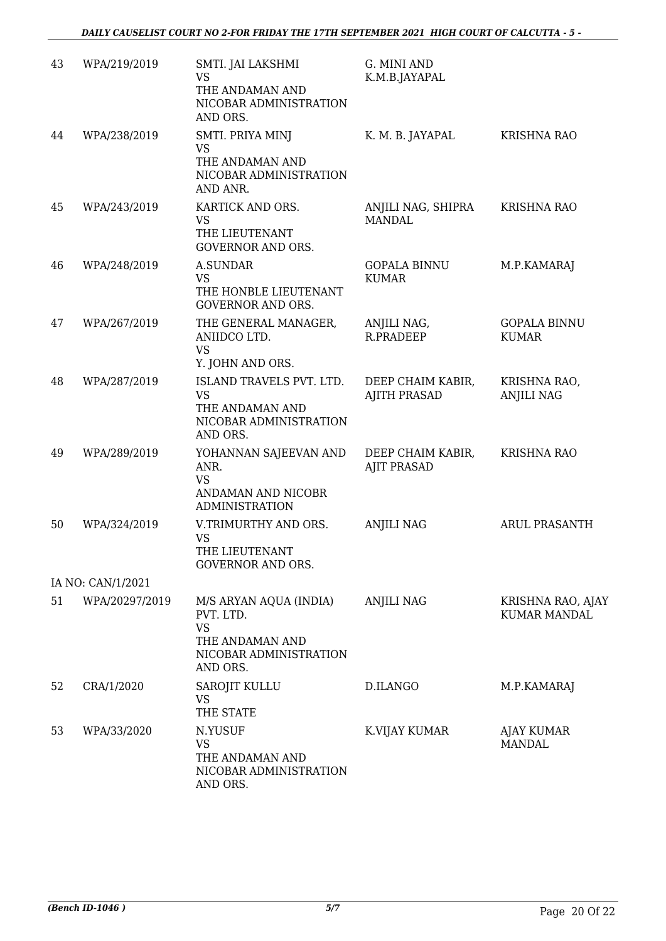| 43 | WPA/219/2019      | SMTI. JAI LAKSHMI<br><b>VS</b><br>THE ANDAMAN AND<br>NICOBAR ADMINISTRATION<br>AND ORS.                   | G. MINI AND<br>K.M.B.JAYAPAL             |                                          |
|----|-------------------|-----------------------------------------------------------------------------------------------------------|------------------------------------------|------------------------------------------|
| 44 | WPA/238/2019      | SMTI. PRIYA MINJ<br><b>VS</b><br>THE ANDAMAN AND<br>NICOBAR ADMINISTRATION<br>AND ANR.                    | K. M. B. JAYAPAL                         | <b>KRISHNA RAO</b>                       |
| 45 | WPA/243/2019      | KARTICK AND ORS.<br><b>VS</b><br>THE LIEUTENANT<br><b>GOVERNOR AND ORS.</b>                               | ANJILI NAG, SHIPRA<br><b>MANDAL</b>      | <b>KRISHNA RAO</b>                       |
| 46 | WPA/248/2019      | A.SUNDAR<br>VS<br>THE HONBLE LIEUTENANT<br><b>GOVERNOR AND ORS.</b>                                       | <b>GOPALA BINNU</b><br><b>KUMAR</b>      | M.P.KAMARAJ                              |
| 47 | WPA/267/2019      | THE GENERAL MANAGER,<br>ANIIDCO LTD.<br><b>VS</b><br>Y. JOHN AND ORS.                                     | ANJILI NAG,<br>R.PRADEEP                 | <b>GOPALA BINNU</b><br><b>KUMAR</b>      |
| 48 | WPA/287/2019      | ISLAND TRAVELS PVT. LTD.<br><b>VS</b><br>THE ANDAMAN AND<br>NICOBAR ADMINISTRATION<br>AND ORS.            | DEEP CHAIM KABIR,<br><b>AJITH PRASAD</b> | KRISHNA RAO,<br><b>ANJILI NAG</b>        |
| 49 | WPA/289/2019      | YOHANNAN SAJEEVAN AND<br>ANR.<br><b>VS</b><br>ANDAMAN AND NICOBR<br><b>ADMINISTRATION</b>                 | DEEP CHAIM KABIR,<br><b>AJIT PRASAD</b>  | KRISHNA RAO                              |
| 50 | WPA/324/2019      | V.TRIMURTHY AND ORS.<br><b>VS</b><br>THE LIEUTENANT<br><b>GOVERNOR AND ORS.</b>                           | <b>ANJILI NAG</b>                        | <b>ARUL PRASANTH</b>                     |
|    | IA NO: CAN/1/2021 |                                                                                                           |                                          |                                          |
| 51 | WPA/20297/2019    | M/S ARYAN AQUA (INDIA)<br>PVT. LTD.<br><b>VS</b><br>THE ANDAMAN AND<br>NICOBAR ADMINISTRATION<br>AND ORS. | <b>ANJILI NAG</b>                        | KRISHNA RAO, AJAY<br><b>KUMAR MANDAL</b> |
| 52 | CRA/1/2020        | SAROJIT KULLU<br><b>VS</b><br>THE STATE                                                                   | D.ILANGO                                 | M.P.KAMARAJ                              |
| 53 | WPA/33/2020       | N.YUSUF<br>VS<br>THE ANDAMAN AND<br>NICOBAR ADMINISTRATION<br>AND ORS.                                    | K.VIJAY KUMAR                            | AJAY KUMAR<br>MANDAL                     |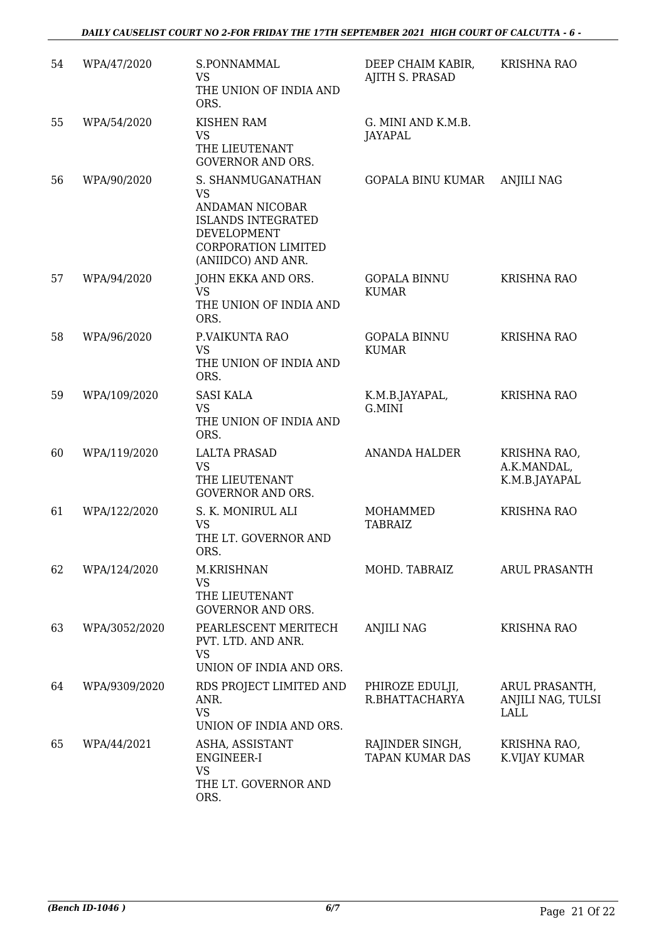| 54 | WPA/47/2020   | S.PONNAMMAL<br><b>VS</b><br>THE UNION OF INDIA AND<br>ORS.                                                                                 | DEEP CHAIM KABIR,<br>AJITH S. PRASAD      | <b>KRISHNA RAO</b>                           |
|----|---------------|--------------------------------------------------------------------------------------------------------------------------------------------|-------------------------------------------|----------------------------------------------|
| 55 | WPA/54/2020   | <b>KISHEN RAM</b><br><b>VS</b><br>THE LIEUTENANT<br><b>GOVERNOR AND ORS.</b>                                                               | G. MINI AND K.M.B.<br><b>JAYAPAL</b>      |                                              |
| 56 | WPA/90/2020   | S. SHANMUGANATHAN<br>VS<br>ANDAMAN NICOBAR<br><b>ISLANDS INTEGRATED</b><br>DEVELOPMENT<br><b>CORPORATION LIMITED</b><br>(ANIIDCO) AND ANR. | GOPALA BINU KUMAR                         | <b>ANJILI NAG</b>                            |
| 57 | WPA/94/2020   | JOHN EKKA AND ORS.<br><b>VS</b><br>THE UNION OF INDIA AND<br>ORS.                                                                          | <b>GOPALA BINNU</b><br><b>KUMAR</b>       | <b>KRISHNA RAO</b>                           |
| 58 | WPA/96/2020   | P.VAIKUNTA RAO<br><b>VS</b><br>THE UNION OF INDIA AND<br>ORS.                                                                              | <b>GOPALA BINNU</b><br><b>KUMAR</b>       | <b>KRISHNA RAO</b>                           |
| 59 | WPA/109/2020  | <b>SASI KALA</b><br>VS<br>THE UNION OF INDIA AND<br>ORS.                                                                                   | K.M.B.JAYAPAL,<br>G.MINI                  | <b>KRISHNA RAO</b>                           |
| 60 | WPA/119/2020  | <b>LALTA PRASAD</b><br><b>VS</b><br>THE LIEUTENANT<br><b>GOVERNOR AND ORS.</b>                                                             | <b>ANANDA HALDER</b>                      | KRISHNA RAO,<br>A.K.MANDAL,<br>K.M.B.JAYAPAL |
| 61 | WPA/122/2020  | S. K. MONIRUL ALI<br><b>VS</b><br>THE LT. GOVERNOR AND<br>ORS.                                                                             | <b>MOHAMMED</b><br><b>TABRAIZ</b>         | <b>KRISHNA RAO</b>                           |
| 62 | WPA/124/2020  | M.KRISHNAN<br>VS<br>THE LIEUTENANT<br><b>GOVERNOR AND ORS.</b>                                                                             | MOHD. TABRAIZ                             | ARUL PRASANTH                                |
| 63 | WPA/3052/2020 | PEARLESCENT MERITECH<br>PVT. LTD. AND ANR.<br><b>VS</b><br>UNION OF INDIA AND ORS.                                                         | ANJILI NAG                                | <b>KRISHNA RAO</b>                           |
| 64 | WPA/9309/2020 | RDS PROJECT LIMITED AND<br>ANR.<br><b>VS</b><br>UNION OF INDIA AND ORS.                                                                    | PHIROZE EDULJI,<br>R.BHATTACHARYA         | ARUL PRASANTH,<br>ANJILI NAG, TULSI<br>LALL  |
| 65 | WPA/44/2021   | ASHA, ASSISTANT<br>ENGINEER-I<br><b>VS</b><br>THE LT. GOVERNOR AND<br>ORS.                                                                 | RAJINDER SINGH,<br><b>TAPAN KUMAR DAS</b> | KRISHNA RAO,<br>K.VIJAY KUMAR                |